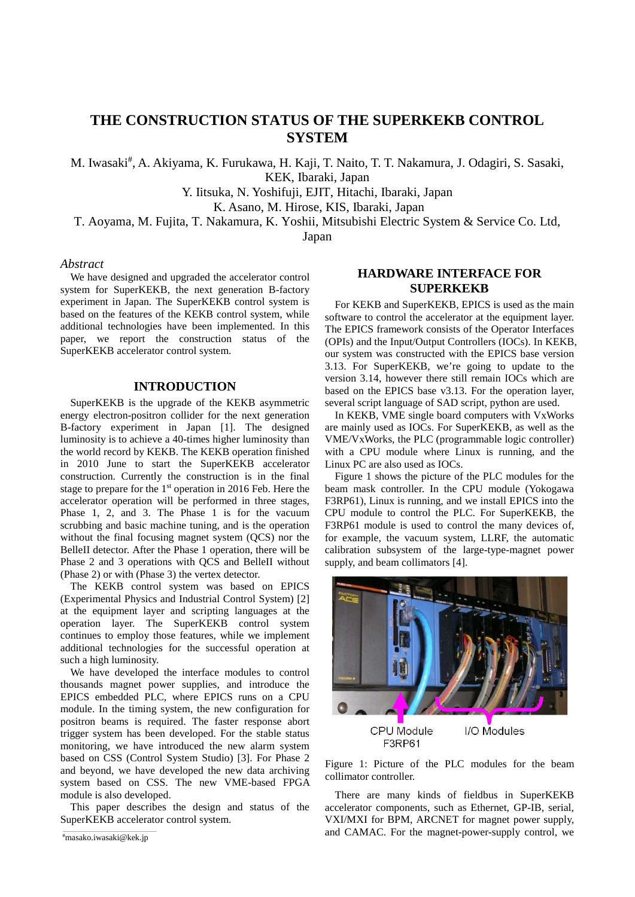# **THE CONSTRUCTION STATUS OF THE SUPERKEKB CONTROL SYSTEM**

M. Iwasaki<sup>#</sup>, A. Akiyama, K. Furukawa, H. Kaji, T. Naito, T. T. Nakamura, J. Odagiri, S. Sasaki, KEK, Ibaraki, Japan

Y. Iitsuka, N. Yoshifuji, EJIT, Hitachi, Ibaraki, Japan

K. Asano, M. Hirose, KIS, Ibaraki, Japan

T. Aoyama, M. Fujita, T. Nakamura, K. Yoshii, Mitsubishi Electric System & Service Co. Ltd,

Japan

### *Abstract*

We have designed and upgraded the accelerator control system for SuperKEKB, the next generation B-factory experiment in Japan. The SuperKEKB control system is based on the features of the KEKB control system, while additional technologies have been implemented. In this paper, we report the construction status of the SuperKEKB accelerator control system.

### **INTRODUCTION**

SuperKEKB is the upgrade of the KEKB asymmetric energy electron-positron collider for the next generation B-factory experiment in Japan [1]. The designed luminosity is to achieve a 40-times higher luminosity than the world record by KEKB. The KEKB operation finished in 2010 June to start the SuperKEKB accelerator construction. Currently the construction is in the final stage to prepare for the 1st operation in 2016 Feb. Here the accelerator operation will be performed in three stages, Phase 1, 2, and 3. The Phase 1 is for the vacuum scrubbing and basic machine tuning, and is the operation without the final focusing magnet system (QCS) nor the BelleII detector. After the Phase 1 operation, there will be Phase 2 and 3 operations with QCS and BelleII without (Phase 2) or with (Phase 3) the vertex detector.

The KEKB control system was based on EPICS (Experimental Physics and Industrial Control System) [2] at the equipment layer and scripting languages at the operation layer. The SuperKEKB control system continues to employ those features, while we implement additional technologies for the successful operation at such a high luminosity.

We have developed the interface modules to control thousands magnet power supplies, and introduce the EPICS embedded PLC, where EPICS runs on a CPU module. In the timing system, the new configuration for positron beams is required. The faster response abort trigger system has been developed. For the stable status monitoring, we have introduced the new alarm system based on CSS (Control System Studio) [3]. For Phase 2 and beyond, we have developed the new data archiving system based on CSS. The new VME-based FPGA module is also developed.

This paper describes the design and status of the SuperKEKB accelerator control system.

### **HARDWARE INTERFACE FOR SUPERKEKB**

For KEKB and SuperKEKB, EPICS is used as the main software to control the accelerator at the equipment layer. The EPICS framework consists of the Operator Interfaces (OPIs) and the Input/Output Controllers (IOCs). In KEKB, our system was constructed with the EPICS base version 3.13. For SuperKEKB, we're going to update to the version 3.14, however there still remain IOCs which are based on the EPICS base v3.13. For the operation layer, several script language of SAD script, python are used.

In KEKB, VME single board computers with VxWorks are mainly used as IOCs. For SuperKEKB, as well as the VME/VxWorks, the PLC (programmable logic controller) with a CPU module where Linux is running, and the Linux PC are also used as IOCs.

Figure 1 shows the picture of the PLC modules for the beam mask controller. In the CPU module (Yokogawa F3RP61), Linux is running, and we install EPICS into the CPU module to control the PLC. For SuperKEKB, the F3RP61 module is used to control the many devices of, for example, the vacuum system, LLRF, the automatic calibration subsystem of the large-type-magnet power supply, and beam collimators [4].



Figure 1: Picture of the PLC modules for the beam collimator controller.

There are many kinds of fieldbus in SuperKEKB accelerator components, such as Ethernet, GP-IB, serial, VXI/MXI for BPM, ARCNET for magnet power supply, and CAMAC. For the magnet-power-supply control, we

\_\_\_\_\_\_\_\_\_\_\_\_\_\_\_\_\_\_\_\_\_\_\_\_\_\_\_\_\_\_\_\_\_\_\_\_\_\_\_\_\_\_\_ # masako.iwasaki@kek.jp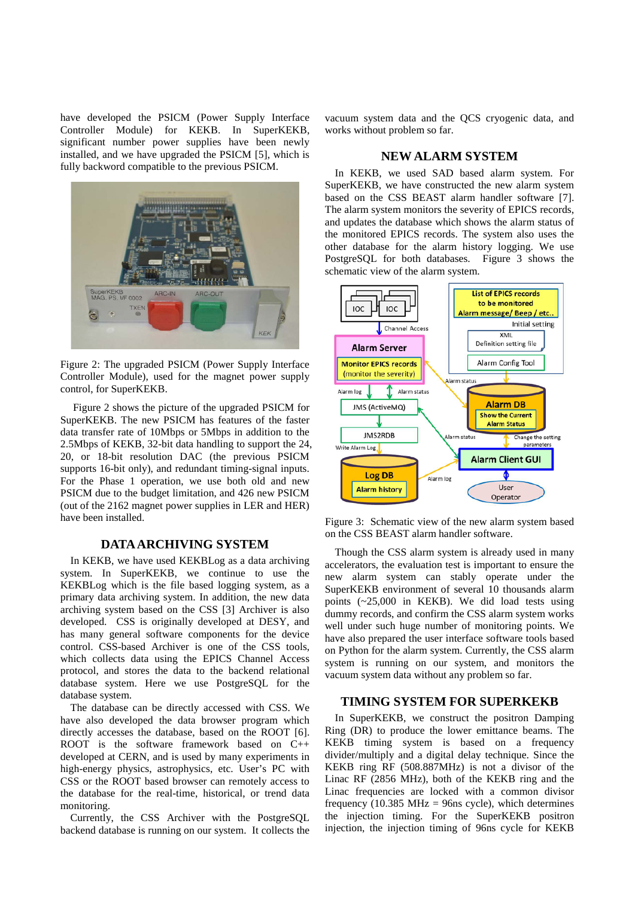have developed the PSICM (Power Supply Interface Controller Module) for KEKB. In SuperKEKB, significant number power supplies have been newly installed, and we have upgraded the PSICM [5], which is fully backword compatible to the previous PSICM.



Figure 2: The upgraded PSICM (Power Supply Interface Controller Module), used for the magnet power supply control, for SuperKEKB.

Figure 2 shows the picture of the upgraded PSICM for SuperKEKB. The new PSICM has features of the faster data transfer rate of 10Mbps or 5Mbps in addition to the 2.5Mbps of KEKB, 32-bit data handling to support the 24, 20, or 18-bit resolution DAC (the previous PSICM supports 16-bit only), and redundant timing-signal inputs. For the Phase 1 operation, we use both old and new PSICM due to the budget limitation, and 426 new PSICM (out of the 2162 magnet power supplies in LER and HER) have been installed.

### **DATA ARCHIVING SYSTEM**

In KEKB, we have used KEKBLog as a data archiving system. In SuperKEKB, we continue to use the KEKBLog which is the file based logging system, as a primary data archiving system. In addition, the new data archiving system based on the CSS [3] Archiver is also developed. CSS is originally developed at DESY, and has many general software components for the device control. CSS-based Archiver is one of the CSS tools, which collects data using the EPICS Channel Access protocol, and stores the data to the backend relational database system. Here we use PostgreSQL for the database system.

The database can be directly accessed with CSS. We have also developed the data browser program which directly accesses the database, based on the ROOT [6]. ROOT is the software framework based on C++ developed at CERN, and is used by many experiments in high-energy physics, astrophysics, etc. User's PC with CSS or the ROOT based browser can remotely access to the database for the real-time, historical, or trend data monitoring.

Currently, the CSS Archiver with the PostgreSQL backend database is running on our system. It collects the vacuum system data and the QCS cryogenic data, and works without problem so far.

#### **NEW ALARM SYSTEM**

In KEKB, we used SAD based alarm system. For SuperKEKB, we have constructed the new alarm system based on the CSS BEAST alarm handler software [7]. The alarm system monitors the severity of EPICS records, and updates the database which shows the alarm status of the monitored EPICS records. The system also uses the other database for the alarm history logging. We use PostgreSQL for both databases. Figure 3 shows the schematic view of the alarm system.



Figure 3: Schematic view of the new alarm system based on the CSS BEAST alarm handler software.

Though the CSS alarm system is already used in many accelerators, the evaluation test is important to ensure the new alarm system can stably operate under the SuperKEKB environment of several 10 thousands alarm points (~25,000 in KEKB). We did load tests using dummy records, and confirm the CSS alarm system works well under such huge number of monitoring points. We have also prepared the user interface software tools based on Python for the alarm system. Currently, the CSS alarm system is running on our system, and monitors the vacuum system data without any problem so far.

#### **TIMING SYSTEM FOR SUPERKEKB**

In SuperKEKB, we construct the positron Damping Ring (DR) to produce the lower emittance beams. The KEKB timing system is based on a frequency divider/multiply and a digital delay technique. Since the KEKB ring RF (508.887MHz) is not a divisor of the Linac RF (2856 MHz), both of the KEKB ring and the Linac frequencies are locked with a common divisor frequency (10.385 MHz = 96ns cycle), which determines the injection timing. For the SuperKEKB positron injection, the injection timing of 96ns cycle for KEKB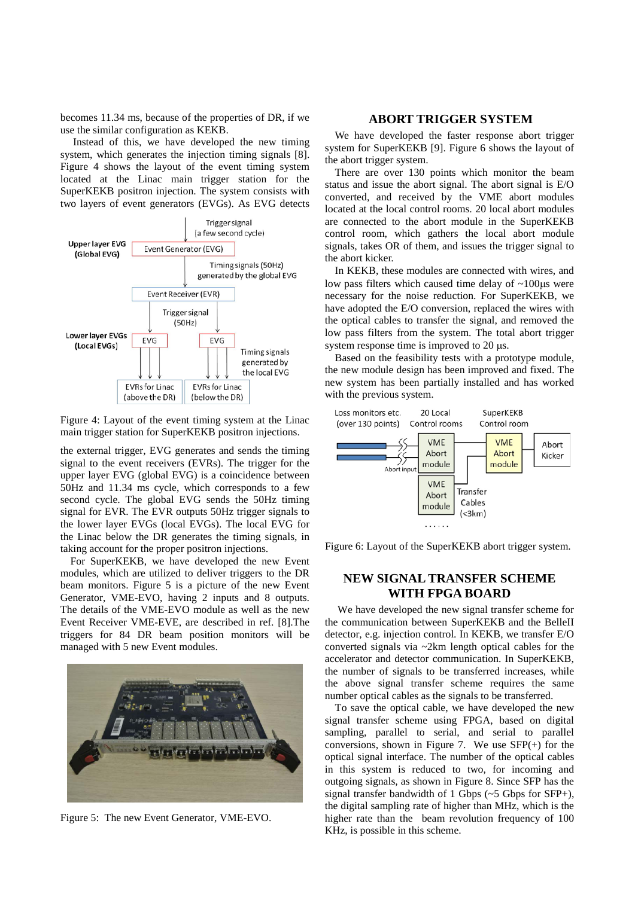becomes 11.34 ms, because of the properties of DR, if we use the similar configuration as KEKB.

Instead of this, we have developed the new timing system, which generates the injection timing signals  $[8]$ . Figure 4 shows the layout of the event timing system located at the Linac main trigger station for the SuperKEKB positron injection. The system consists with two layers of event generators (EVGs). As EVG detects



Figure 4: Layout of the event timing system at the Linac main trigger station for SuperKEKB positron injections.

the external trigger, EVG generates and sends the timing signal to the event receivers (EVRs). The trigger for the upper layer EVG (global EVG) is a coincidence between 50Hz and 11.34 ms cycle, which corresponds to a few second cycle. The global EVG sends the 50Hz timing signal for EVR. The EVR outputs 50Hz trigger signals to the lower layer EVGs (local EVGs). The local EVG for the Linac below the DR generates the timing signals, in taking account for the proper positron injections.

For SuperKEKB, we have developed the new Event modules, which are utilized to deliver triggers to the DR beam monitors. Figure 5 is a picture of the new Event Generator, VME-EVO, having 2 inputs and 8 outputs. The details of the VME-EVO module as well as the new Event Receiver VME-EVE, are described in ref. [8].The triggers for 84 DR beam position monitors will be managed with 5 new Event modules.



Figure 5: The new Event Generator, VME-EVO.

### **ABORT TRIGGER SYSTEM**

We have developed the faster response abort trigger system for SuperKEKB [9]. Figure 6 shows the layout of the abort trigger system.

There are over 130 points which monitor the beam status and issue the abort signal. The abort signal is E/O converted, and received by the VME abort modules located at the local control rooms. 20 local abort modules are connected to the abort module in the SuperKEKB control room, which gathers the local abort module signals, takes OR of them, and issues the trigger signal to the abort kicker.

In KEKB, these modules are connected with wires, and low pass filters which caused time delay of  $~100\mu s$  were necessary for the noise reduction. For SuperKEKB, we have adopted the E/O conversion, replaced the wires with the optical cables to transfer the signal, and removed the low pass filters from the system. The total abort trigger system response time is improved to 20  $\mu$ s.

Based on the feasibility tests with a prototype module, the new module design has been improved and fixed. The new system has been partially installed and has worked with the previous system.



Figure 6: Layout of the SuperKEKB abort trigger system.

# **NEW SIGNAL TRANSFER SCHEME WITH FPGA BOARD**

We have developed the new signal transfer scheme for the communication between SuperKEKB and the BelleII detector, e.g. injection control. In KEKB, we transfer E/O converted signals via ~2km length optical cables for the accelerator and detector communication. In SuperKEKB, the number of signals to be transferred increases, while the above signal transfer scheme requires the same number optical cables as the signals to be transferred.

To save the optical cable, we have developed the new signal transfer scheme using FPGA, based on digital sampling, parallel to serial, and serial to parallel conversions, shown in Figure 7. We use  $SFP(+)$  for the optical signal interface. The number of the optical cables in this system is reduced to two, for incoming and outgoing signals, as shown in Figure 8. Since SFP has the signal transfer bandwidth of 1 Gbps (~5 Gbps for SFP+), the digital sampling rate of higher than MHz, which is the higher rate than the beam revolution frequency of 100 KHz, is possible in this scheme.